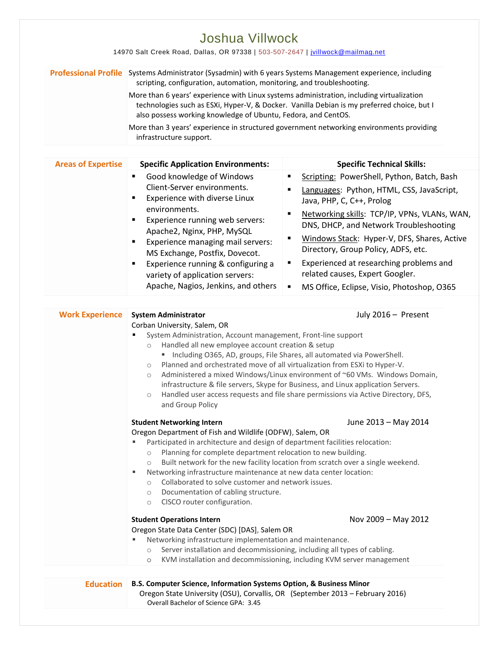|                           | Professional Profile Systems Administrator (Sysadmin) with 6 years Systems Management experience, including<br>scripting, configuration, automation, monitoring, and troubleshooting.                                                                                                                                                                                                                                                                                                                                                                                                                                                                                                                              |                                                                                                                                                                                                                                                                                                                                                                                                                                                                                |  |
|---------------------------|--------------------------------------------------------------------------------------------------------------------------------------------------------------------------------------------------------------------------------------------------------------------------------------------------------------------------------------------------------------------------------------------------------------------------------------------------------------------------------------------------------------------------------------------------------------------------------------------------------------------------------------------------------------------------------------------------------------------|--------------------------------------------------------------------------------------------------------------------------------------------------------------------------------------------------------------------------------------------------------------------------------------------------------------------------------------------------------------------------------------------------------------------------------------------------------------------------------|--|
|                           | More than 6 years' experience with Linux systems administration, including virtualization<br>also possess working knowledge of Ubuntu, Fedora, and CentOS.<br>infrastructure support.                                                                                                                                                                                                                                                                                                                                                                                                                                                                                                                              | technologies such as ESXi, Hyper-V, & Docker. Vanilla Debian is my preferred choice, but I<br>More than 3 years' experience in structured government networking environments providing                                                                                                                                                                                                                                                                                         |  |
| <b>Areas of Expertise</b> | <b>Specific Application Environments:</b>                                                                                                                                                                                                                                                                                                                                                                                                                                                                                                                                                                                                                                                                          | <b>Specific Technical Skills:</b>                                                                                                                                                                                                                                                                                                                                                                                                                                              |  |
|                           | Good knowledge of Windows<br>٠<br>Client-Server environments.<br>Experience with diverse Linux<br>environments.<br>Experience running web servers:<br>٠<br>Apache2, Nginx, PHP, MySQL<br>Experience managing mail servers:<br>MS Exchange, Postfix, Dovecot.<br>Experience running & configuring a<br>variety of application servers:<br>Apache, Nagios, Jenkins, and others                                                                                                                                                                                                                                                                                                                                       | Scripting: PowerShell, Python, Batch, Bash<br>$\blacksquare$<br>Languages: Python, HTML, CSS, JavaScript,<br>Java, PHP, C, C++, Prolog<br>Networking skills: TCP/IP, VPNs, VLANs, WAN,<br>DNS, DHCP, and Network Troubleshooting<br>Windows Stack: Hyper-V, DFS, Shares, Active<br>٠<br>Directory, Group Policy, ADFS, etc.<br>Experienced at researching problems and<br>٠<br>related causes, Expert Googler.<br>$\blacksquare$<br>MS Office, Eclipse, Visio, Photoshop, O365 |  |
| <b>Work Experience</b>    | July 2016 - Present<br><b>System Administrator</b><br>Corban University, Salem, OR<br>System Administration, Account management, Front-line support<br>Handled all new employee account creation & setup<br>$\circlearrowright$<br>" Including O365, AD, groups, File Shares, all automated via PowerShell.<br>Planned and orchestrated move of all virtualization from ESXi to Hyper-V.<br>$\circ$<br>Administered a mixed Windows/Linux environment of ~60 VMs. Windows Domain,<br>$\circlearrowright$<br>infrastructure & file servers, Skype for Business, and Linux application Servers.<br>Handled user access requests and file share permissions via Active Directory, DFS,<br>$\circ$<br>and Group Policy |                                                                                                                                                                                                                                                                                                                                                                                                                                                                                |  |
|                           | June 2013 - May 2014<br><b>Student Networking Intern</b><br>Oregon Department of Fish and Wildlife (ODFW), Salem, OR<br>Participated in architecture and design of department facilities relocation:<br>Planning for complete department relocation to new building.<br>$\circ$<br>Built network for the new facility location from scratch over a single weekend.<br>$\circ$<br>Networking infrastructure maintenance at new data center location:<br>Collaborated to solve customer and network issues.<br>$\circ$<br>Documentation of cabling structure.<br>$\circ$<br>CISCO router configuration.<br>$\circ$                                                                                                   |                                                                                                                                                                                                                                                                                                                                                                                                                                                                                |  |
|                           | <b>Student Operations Intern</b><br>Oregon State Data Center (SDC) [DAS], Salem OR<br>Networking infrastructure implementation and maintenance.<br>Server installation and decommissioning, including all types of cabling.<br>$\circ$<br>$\circ$                                                                                                                                                                                                                                                                                                                                                                                                                                                                  | Nov 2009 - May 2012<br>KVM installation and decommissioning, including KVM server management                                                                                                                                                                                                                                                                                                                                                                                   |  |